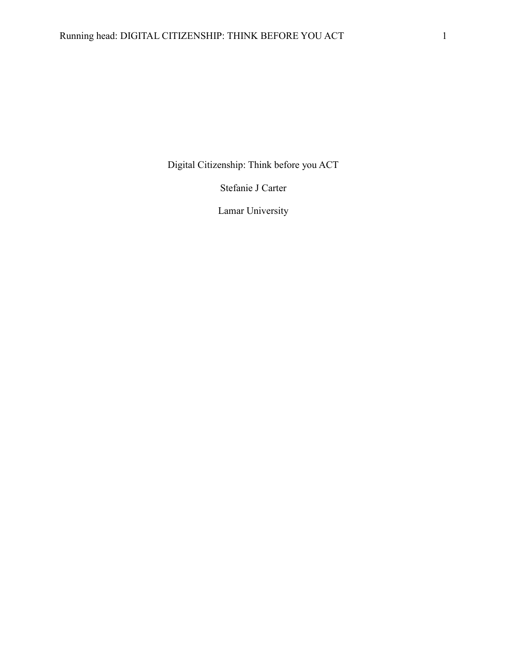Digital Citizenship: Think before you ACT

Stefanie J Carter

Lamar University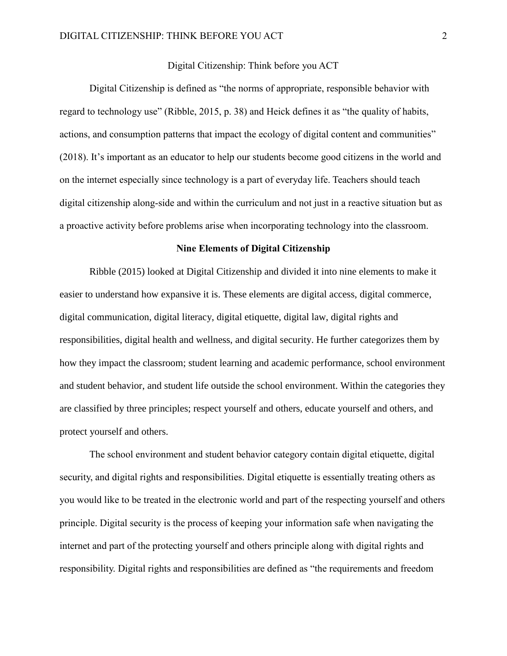### Digital Citizenship: Think before you ACT

Digital Citizenship is defined as "the norms of appropriate, responsible behavior with regard to technology use" (Ribble, 2015, p. 38) and Heick defines it as "the quality of habits, actions, and consumption patterns that impact the ecology of digital content and communities" (2018). It's important as an educator to help our students become good citizens in the world and on the internet especially since technology is a part of everyday life. Teachers should teach digital citizenship along-side and within the curriculum and not just in a reactive situation but as a proactive activity before problems arise when incorporating technology into the classroom.

### **Nine Elements of Digital Citizenship**

Ribble (2015) looked at Digital Citizenship and divided it into nine elements to make it easier to understand how expansive it is. These elements are digital access, digital commerce, digital communication, digital literacy, digital etiquette, digital law, digital rights and responsibilities, digital health and wellness, and digital security. He further categorizes them by how they impact the classroom; student learning and academic performance, school environment and student behavior, and student life outside the school environment. Within the categories they are classified by three principles; respect yourself and others, educate yourself and others, and protect yourself and others.

The school environment and student behavior category contain digital etiquette, digital security, and digital rights and responsibilities. Digital etiquette is essentially treating others as you would like to be treated in the electronic world and part of the respecting yourself and others principle. Digital security is the process of keeping your information safe when navigating the internet and part of the protecting yourself and others principle along with digital rights and responsibility. Digital rights and responsibilities are defined as "the requirements and freedom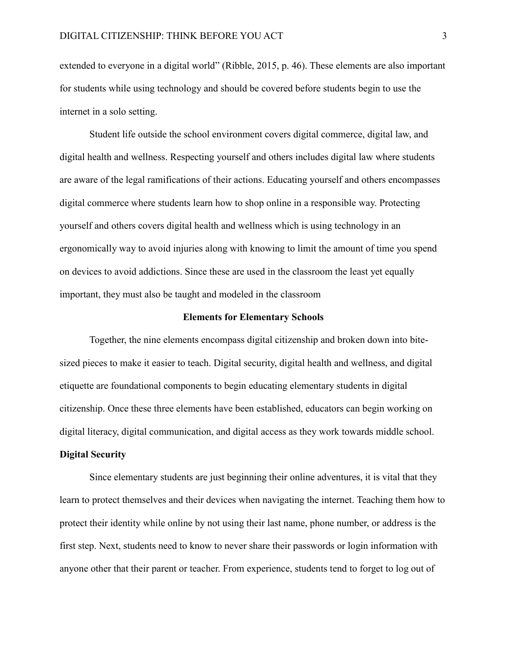extended to everyone in a digital world" (Ribble, 2015, p. 46). These elements are also important for students while using technology and should be covered before students begin to use the internet in a solo setting.

Student life outside the school environment covers digital commerce, digital law, and digital health and wellness. Respecting yourself and others includes digital law where students are aware of the legal ramifications of their actions. Educating yourself and others encompasses digital commerce where students learn how to shop online in a responsible way. Protecting yourself and others covers digital health and wellness which is using technology in an ergonomically way to avoid injuries along with knowing to limit the amount of time you spend on devices to avoid addictions. Since these are used in the classroom the least yet equally important, they must also be taught and modeled in the classroom

## **Elements for Elementary Schools**

Together, the nine elements encompass digital citizenship and broken down into bitesized pieces to make it easier to teach. Digital security, digital health and wellness, and digital etiquette are foundational components to begin educating elementary students in digital citizenship. Once these three elements have been established, educators can begin working on digital literacy, digital communication, and digital access as they work towards middle school.

# **Digital Security**

Since elementary students are just beginning their online adventures, it is vital that they learn to protect themselves and their devices when navigating the internet. Teaching them how to protect their identity while online by not using their last name, phone number, or address is the first step. Next, students need to know to never share their passwords or login information with anyone other that their parent or teacher. From experience, students tend to forget to log out of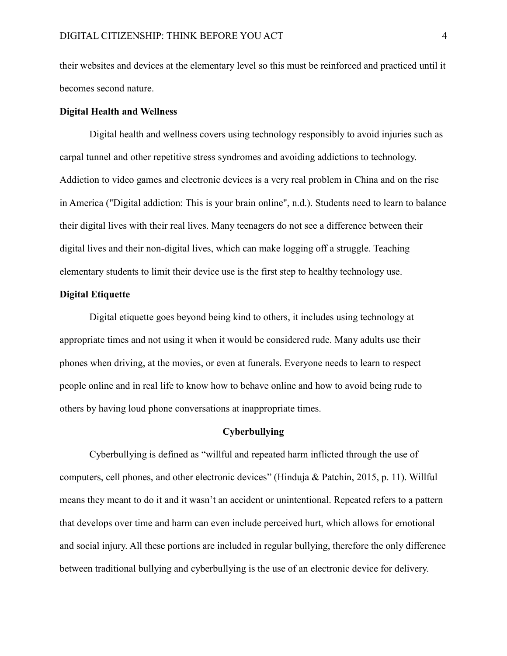their websites and devices at the elementary level so this must be reinforced and practiced until it becomes second nature.

#### **Digital Health and Wellness**

Digital health and wellness covers using technology responsibly to avoid injuries such as carpal tunnel and other repetitive stress syndromes and avoiding addictions to technology. Addiction to video games and electronic devices is a very real problem in China and on the rise in America ("Digital addiction: This is your brain online", n.d.). Students need to learn to balance their digital lives with their real lives. Many teenagers do not see a difference between their digital lives and their non-digital lives, which can make logging off a struggle. Teaching elementary students to limit their device use is the first step to healthy technology use.

### **Digital Etiquette**

Digital etiquette goes beyond being kind to others, it includes using technology at appropriate times and not using it when it would be considered rude. Many adults use their phones when driving, at the movies, or even at funerals. Everyone needs to learn to respect people online and in real life to know how to behave online and how to avoid being rude to others by having loud phone conversations at inappropriate times.

#### **Cyberbullying**

Cyberbullying is defined as "willful and repeated harm inflicted through the use of computers, cell phones, and other electronic devices" (Hinduja & Patchin, 2015, p. 11). Willful means they meant to do it and it wasn't an accident or unintentional. Repeated refers to a pattern that develops over time and harm can even include perceived hurt, which allows for emotional and social injury. All these portions are included in regular bullying, therefore the only difference between traditional bullying and cyberbullying is the use of an electronic device for delivery.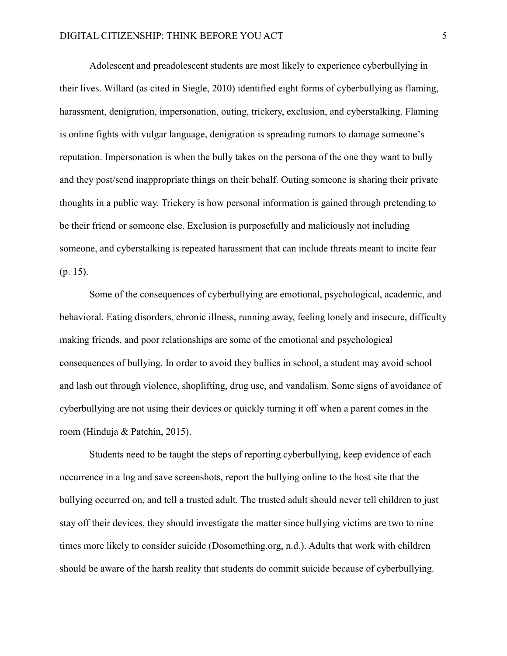Adolescent and preadolescent students are most likely to experience cyberbullying in their lives. Willard (as cited in Siegle, 2010) identified eight forms of cyberbullying as flaming, harassment, denigration, impersonation, outing, trickery, exclusion, and cyberstalking. Flaming is online fights with vulgar language, denigration is spreading rumors to damage someone's reputation. Impersonation is when the bully takes on the persona of the one they want to bully and they post/send inappropriate things on their behalf. Outing someone is sharing their private thoughts in a public way. Trickery is how personal information is gained through pretending to be their friend or someone else. Exclusion is purposefully and maliciously not including someone, and cyberstalking is repeated harassment that can include threats meant to incite fear (p. 15).

Some of the consequences of cyberbullying are emotional, psychological, academic, and behavioral. Eating disorders, chronic illness, running away, feeling lonely and insecure, difficulty making friends, and poor relationships are some of the emotional and psychological consequences of bullying. In order to avoid they bullies in school, a student may avoid school and lash out through violence, shoplifting, drug use, and vandalism. Some signs of avoidance of cyberbullying are not using their devices or quickly turning it off when a parent comes in the room (Hinduja & Patchin, 2015).

Students need to be taught the steps of reporting cyberbullying, keep evidence of each occurrence in a log and save screenshots, report the bullying online to the host site that the bullying occurred on, and tell a trusted adult. The trusted adult should never tell children to just stay off their devices, they should investigate the matter since bullying victims are two to nine times more likely to consider suicide (Dosomething.org, n.d.). Adults that work with children should be aware of the harsh reality that students do commit suicide because of cyberbullying.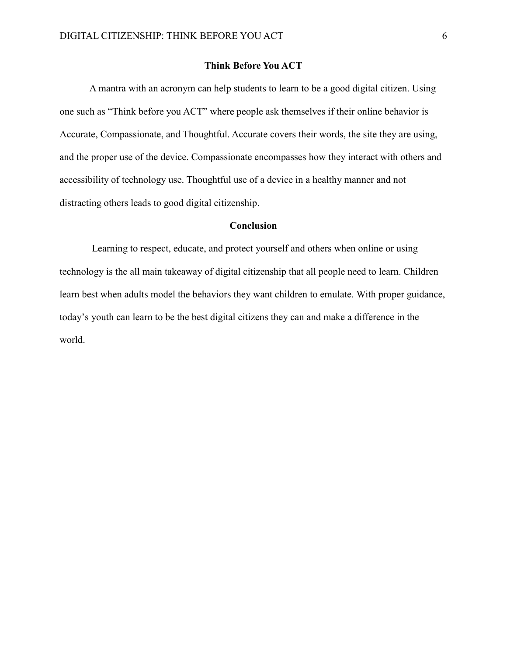# **Think Before You ACT**

A mantra with an acronym can help students to learn to be a good digital citizen. Using one such as "Think before you ACT" where people ask themselves if their online behavior is Accurate, Compassionate, and Thoughtful. Accurate covers their words, the site they are using, and the proper use of the device. Compassionate encompasses how they interact with others and accessibility of technology use. Thoughtful use of a device in a healthy manner and not distracting others leads to good digital citizenship.

### **Conclusion**

Learning to respect, educate, and protect yourself and others when online or using technology is the all main takeaway of digital citizenship that all people need to learn. Children learn best when adults model the behaviors they want children to emulate. With proper guidance, today's youth can learn to be the best digital citizens they can and make a difference in the world.